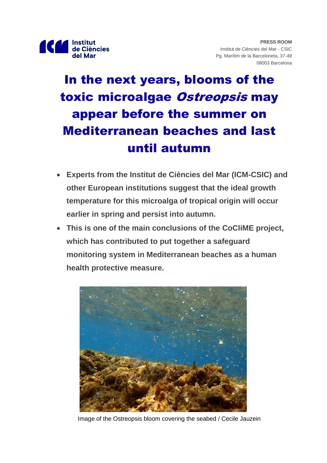

# In the next years, blooms of the toxic microalgae Ostreopsis may appear before the summer on Mediterranean beaches and last until autumn

- **Experts from the Institut de Ciències del Mar (ICM-CSIC) and other European institutions suggest that the ideal growth temperature for this microalga of tropical origin will occur earlier in spring and persist into autumn.**
- **This is one of the main conclusions of the CoCliME project, which has contributed to put together a safeguard monitoring system in Mediterranean beaches as a human health protective measure.**



Image of the Ostreopsis bloom covering the seabed / Cecile Jauzein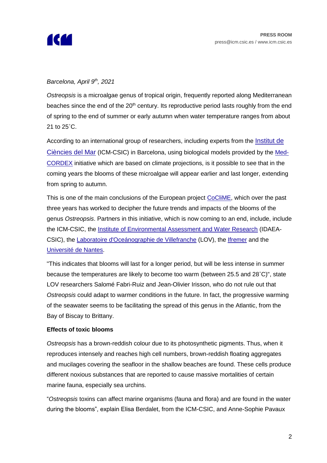

# *Barcelona, April 9 th, 2021*

*Ostreopsis* is a microalgae genus of tropical origin, frequently reported along Mediterranean beaches since the end of the  $20<sup>th</sup>$  century. Its reproductive period lasts roughly from the end of spring to the end of summer or early autumn when water temperature ranges from about 21 to 25˚C.

According to an international group of researchers, including experts from the [Institut de](https://www.icm.csic.es/en)  [Ciències del Mar](https://www.icm.csic.es/en) (ICM-CSIC) in Barcelona, using biological models provided by the [Med-](https://www.medcordex.eu/)[CORDEX](https://www.medcordex.eu/) initiative which are based on climate projections, is it possible to see that in the coming years the blooms of these microalgae will appear earlier and last longer, extending from spring to autumn.

This is one of the main conclusions of the European project [CoCliME,](http://www.coclime.eu/) which over the past three years has worked to decipher the future trends and impacts of the blooms of the genus *Ostreopsis*. Partners in this initiative, which is now coming to an end, include, include the ICM-CSIC, the [Institute of Environmental Assessment and Water Research](https://www.idaea.csic.es/) (IDAEA-CSIC), the [Laboratoire d'Oceánographie de Villefranche](https://sciences.sorbonne-universite.fr/structures-de-recherche/laboratoire-doceanographie-de-villefranche) (LOV), the [Ifremer](https://wwz.ifremer.fr/) and the [Université de Nantes.](https://www.univ-nantes.fr/)

"This indicates that blooms will last for a longer period, but will be less intense in summer because the temperatures are likely to become too warm (between 25.5 and 28˚C)", state LOV researchers Salomé Fabri-Ruiz and Jean-Olivier Irisson, who do not rule out that *Ostreopsis* could adapt to warmer conditions in the future. In fact, the progressive warming of the seawater seems to be facilitating the spread of this genus in the Atlantic, from the Bay of Biscay to Brittany.

#### **Effects of toxic blooms**

*Ostreopsis* has a brown-reddish colour due to its photosynthetic pigments. Thus, when it reproduces intensely and reaches high cell numbers, brown-reddish floating aggregates and mucilages covering the seafloor in the shallow beaches are found. These cells produce different noxious substances that are reported to cause massive mortalities of certain marine fauna, especially sea urchins.

"*Ostreopsis* toxins can affect marine organisms (fauna and flora) and are found in the water during the blooms", explain Elisa Berdalet, from the ICM-CSIC, and Anne-Sophie Pavaux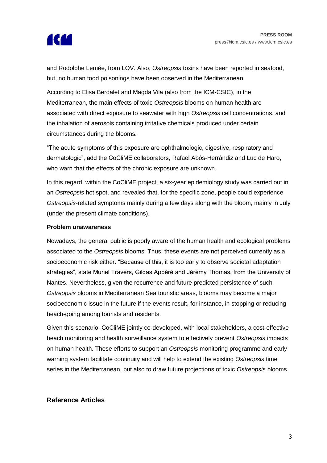

and Rodolphe Lemée, from LOV. Also, *Ostreopsis* toxins have been reported in seafood, but, no human food poisonings have been observed in the Mediterranean.

According to Elisa Berdalet and Magda Vila (also from the ICM-CSIC), in the Mediterranean, the main effects of toxic *Ostreopsis* blooms on human health are associated with direct exposure to seawater with high *Ostreopsis* cell concentrations, and the inhalation of aerosols containing irritative chemicals produced under certain circumstances during the blooms.

"The acute symptoms of this exposure are ophthalmologic, digestive, respiratory and dermatologic", add the CoCliME collaborators, Rafael Abós-Herràndiz and Luc de Haro, who warn that the effects of the chronic exposure are unknown.

In this regard, within the CoCliME project, a six-year epidemiology study was carried out in an *Ostreopsis* hot spot, and revealed that, for the specific zone, people could experience *Ostreopsis-*related symptoms mainly during a few days along with the bloom, mainly in July (under the present climate conditions).

## **Problem unawareness**

Nowadays, the general public is poorly aware of the human health and ecological problems associated to the *Ostreopsis* blooms. Thus, these events are not perceived currently as a socioeconomic risk either. "Because of this, it is too early to observe societal adaptation strategies", state Muriel Travers, Gildas Appéré and Jérémy Thomas, from the University of Nantes. Nevertheless, given the recurrence and future predicted persistence of such *Ostreopsis* blooms in Mediterranean Sea touristic areas, blooms may become a major socioeconomic issue in the future if the events result, for instance, in stopping or reducing beach-going among tourists and residents.

Given this scenario, CoCliME jointly co-developed, with local stakeholders, a cost-effective beach monitoring and health surveillance system to effectively prevent *Ostreopsis* impacts on human health. These efforts to support an *Ostreopsis* monitoring programme and early warning system facilitate continuity and will help to extend the existing *Ostreopsis* time series in the Mediterranean, but also to draw future projections of toxic *Ostreopsis* blooms.

## **Reference Articles**